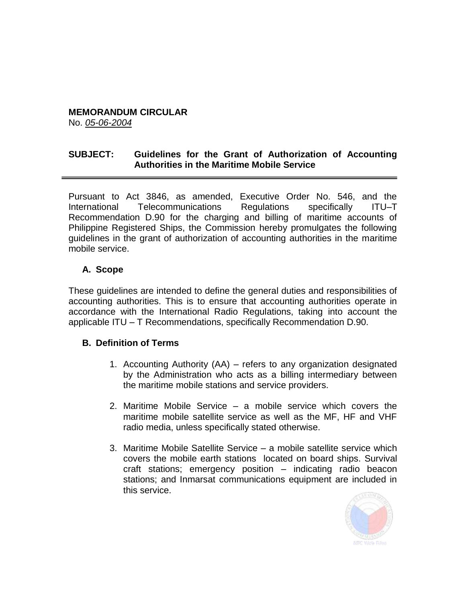# **MEMORANDUM CIRCULAR**

No. *05-06-2004*

## **SUBJECT: Guidelines for the Grant of Authorization of Accounting Authorities in the Maritime Mobile Service**

Pursuant to Act 3846, as amended, Executive Order No. 546, and the International Telecommunications Regulations specifically ITU–T Recommendation D.90 for the charging and billing of maritime accounts of Philippine Registered Ships, the Commission hereby promulgates the following guidelines in the grant of authorization of accounting authorities in the maritime mobile service.

# **A. Scope**

These guidelines are intended to define the general duties and responsibilities of accounting authorities. This is to ensure that accounting authorities operate in accordance with the International Radio Regulations, taking into account the applicable ITU – T Recommendations, specifically Recommendation D.90.

# **B. Definition of Terms**

- 1. Accounting Authority (AA) refers to any organization designated by the Administration who acts as a billing intermediary between the maritime mobile stations and service providers.
- 2. Maritime Mobile Service a mobile service which covers the maritime mobile satellite service as well as the MF, HF and VHF radio media, unless specifically stated otherwise.
- 3. Maritime Mobile Satellite Service a mobile satellite service which covers the mobile earth stations located on board ships. Survival craft stations; emergency position – indicating radio beacon stations; and Inmarsat communications equipment are included in this service.

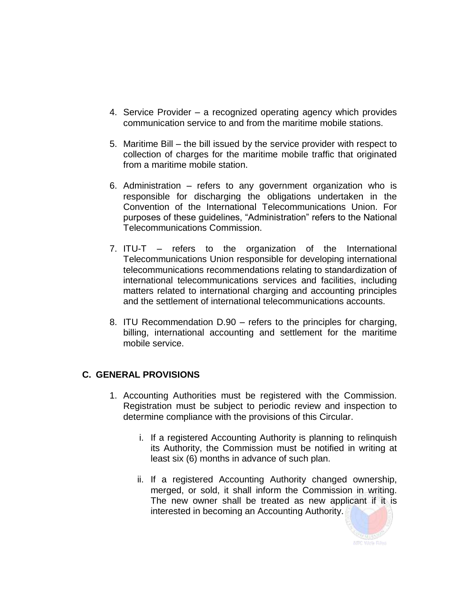- 4. Service Provider a recognized operating agency which provides communication service to and from the maritime mobile stations.
- 5. Maritime Bill the bill issued by the service provider with respect to collection of charges for the maritime mobile traffic that originated from a maritime mobile station.
- 6. Administration refers to any government organization who is responsible for discharging the obligations undertaken in the Convention of the International Telecommunications Union. For purposes of these guidelines, "Administration" refers to the National Telecommunications Commission.
- 7. ITU-T refers to the organization of the International Telecommunications Union responsible for developing international telecommunications recommendations relating to standardization of international telecommunications services and facilities, including matters related to international charging and accounting principles and the settlement of international telecommunications accounts.
- 8. ITU Recommendation D.90 refers to the principles for charging, billing, international accounting and settlement for the maritime mobile service.

# **C. GENERAL PROVISIONS**

- 1. Accounting Authorities must be registered with the Commission. Registration must be subject to periodic review and inspection to determine compliance with the provisions of this Circular.
	- i. If a registered Accounting Authority is planning to relinquish its Authority, the Commission must be notified in writing at least six (6) months in advance of such plan.
	- ii. If a registered Accounting Authority changed ownership, merged, or sold, it shall inform the Commission in writing. The new owner shall be treated as new applicant if it is interested in becoming an Accounting Authority.

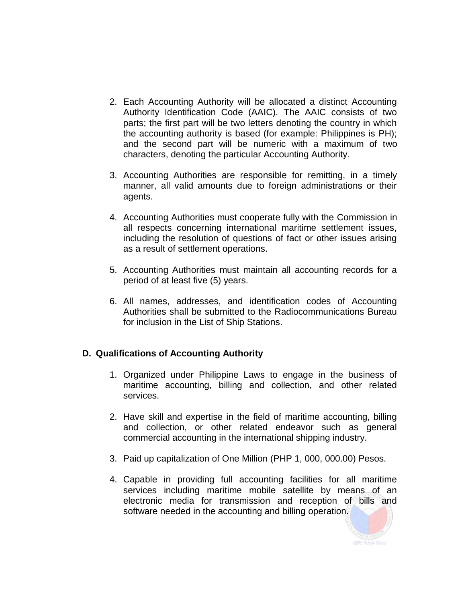- 2. Each Accounting Authority will be allocated a distinct Accounting Authority Identification Code (AAIC). The AAIC consists of two parts; the first part will be two letters denoting the country in which the accounting authority is based (for example: Philippines is PH); and the second part will be numeric with a maximum of two characters, denoting the particular Accounting Authority.
- 3. Accounting Authorities are responsible for remitting, in a timely manner, all valid amounts due to foreign administrations or their agents.
- 4. Accounting Authorities must cooperate fully with the Commission in all respects concerning international maritime settlement issues, including the resolution of questions of fact or other issues arising as a result of settlement operations.
- 5. Accounting Authorities must maintain all accounting records for a period of at least five (5) years.
- 6. All names, addresses, and identification codes of Accounting Authorities shall be submitted to the Radiocommunications Bureau for inclusion in the List of Ship Stations.

# **D. Qualifications of Accounting Authority**

- 1. Organized under Philippine Laws to engage in the business of maritime accounting, billing and collection, and other related services.
- 2. Have skill and expertise in the field of maritime accounting, billing and collection, or other related endeavor such as general commercial accounting in the international shipping industry.
- 3. Paid up capitalization of One Million (PHP 1, 000, 000.00) Pesos.
- 4. Capable in providing full accounting facilities for all maritime services including maritime mobile satellite by means of an electronic media for transmission and reception of bills and software needed in the accounting and billing operation.

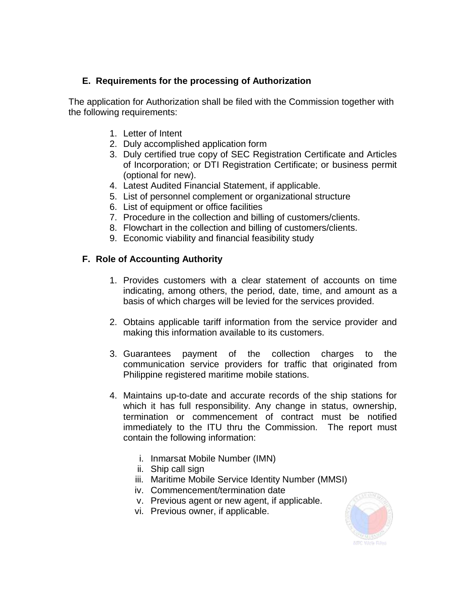# **E. Requirements for the processing of Authorization**

The application for Authorization shall be filed with the Commission together with the following requirements:

- 1. Letter of Intent
- 2. Duly accomplished application form
- 3. Duly certified true copy of SEC Registration Certificate and Articles of Incorporation; or DTI Registration Certificate; or business permit (optional for new).
- 4. Latest Audited Financial Statement, if applicable.
- 5. List of personnel complement or organizational structure
- 6. List of equipment or office facilities
- 7. Procedure in the collection and billing of customers/clients.
- 8. Flowchart in the collection and billing of customers/clients.
- 9. Economic viability and financial feasibility study

# **F. Role of Accounting Authority**

- 1. Provides customers with a clear statement of accounts on time indicating, among others, the period, date, time, and amount as a basis of which charges will be levied for the services provided.
- 2. Obtains applicable tariff information from the service provider and making this information available to its customers.
- 3. Guarantees payment of the collection charges to the communication service providers for traffic that originated from Philippine registered maritime mobile stations.
- 4. Maintains up-to-date and accurate records of the ship stations for which it has full responsibility. Any change in status, ownership, termination or commencement of contract must be notified immediately to the ITU thru the Commission. The report must contain the following information:
	- i. Inmarsat Mobile Number (IMN)
	- ii. Ship call sign
	- iii. Maritime Mobile Service Identity Number (MMSI)
	- iv. Commencement/termination date
	- v. Previous agent or new agent, if applicable.
	- vi. Previous owner, if applicable.

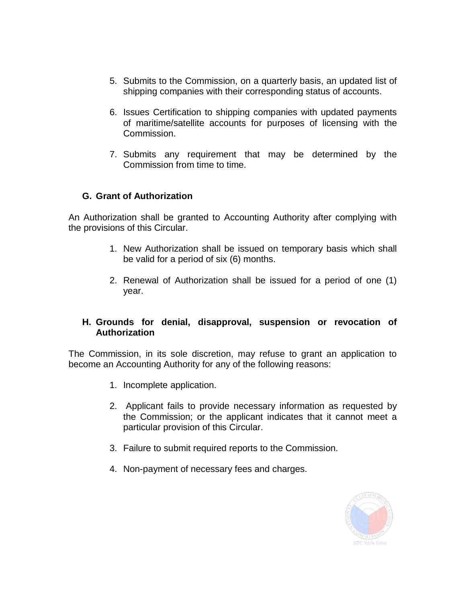- 5. Submits to the Commission, on a quarterly basis, an updated list of shipping companies with their corresponding status of accounts.
- 6. Issues Certification to shipping companies with updated payments of maritime/satellite accounts for purposes of licensing with the Commission.
- 7. Submits any requirement that may be determined by the Commission from time to time.

#### **G. Grant of Authorization**

An Authorization shall be granted to Accounting Authority after complying with the provisions of this Circular.

- 1. New Authorization shall be issued on temporary basis which shall be valid for a period of six (6) months.
- 2. Renewal of Authorization shall be issued for a period of one (1) year.

#### **H. Grounds for denial, disapproval, suspension or revocation of Authorization**

The Commission, in its sole discretion, may refuse to grant an application to become an Accounting Authority for any of the following reasons:

- 1. Incomplete application.
- 2. Applicant fails to provide necessary information as requested by the Commission; or the applicant indicates that it cannot meet a particular provision of this Circular.
- 3. Failure to submit required reports to the Commission.
- 4. Non-payment of necessary fees and charges.